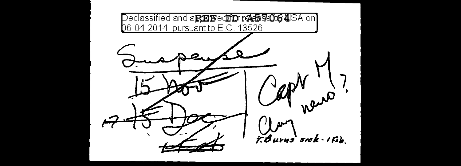Declassified and a**スEE®∈ⅢD ra全5ROG 4**ISA on】 06-04-2014 pursuant to E.O. 13526 า $\bm{D}'$ r auto F. Burns sick - IFeb.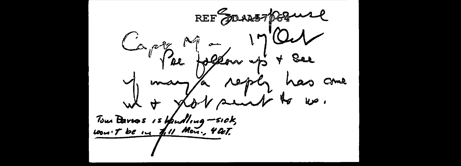REF JOURN 169 wel Capital Marian 17 Our y many a reply has come what you saint to we. Tous Barros 15 Upudling -sick,<br>100m T be in 1.11 Mon., 4 Oct.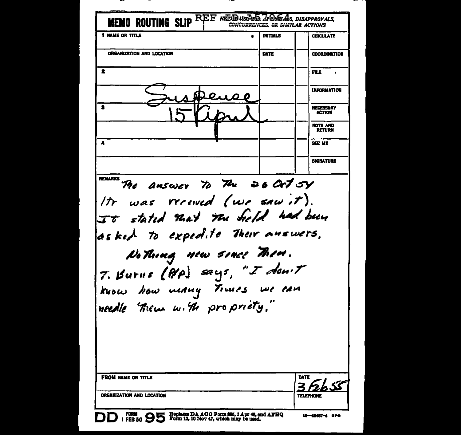| MEMO ROUTING SLIP REE NEED USERS TO GAS, DISAPPROVALS,<br><b>1 NAME OR TITLE</b>                                                             | <b>INITIALS</b><br>$\bullet$ | <b>CIRCULATE</b>                  |
|----------------------------------------------------------------------------------------------------------------------------------------------|------------------------------|-----------------------------------|
|                                                                                                                                              |                              |                                   |
| ORGANIZATION AND LOCATION                                                                                                                    | DATE                         | <b>COORDINATION</b>               |
| 2                                                                                                                                            |                              | <b>FILE</b>                       |
|                                                                                                                                              |                              | <b>INFORMATION</b>                |
| 2                                                                                                                                            |                              | <b>NECESSARY</b><br><b>ACTION</b> |
|                                                                                                                                              |                              | <b>NOTE AND</b><br><b>RETURN</b>  |
| 4                                                                                                                                            |                              | SEE ME                            |
|                                                                                                                                              |                              | <b>SIGNATURE</b>                  |
| REMARKS TAE AMSWER TO The 26 CKT 54<br>It was received (we saw it).<br>It stated that the Sield had been<br>asked to expedite their answers. |                              |                                   |
| No Thoug new since Told.<br>7. Burns (P/P) says, "I don't<br>know how meany Times we can<br>needle them with propriety."                     |                              |                                   |
| <b>FROM NAME OR TITLE</b>                                                                                                                    |                              | DATE<br><b>SS</b>                 |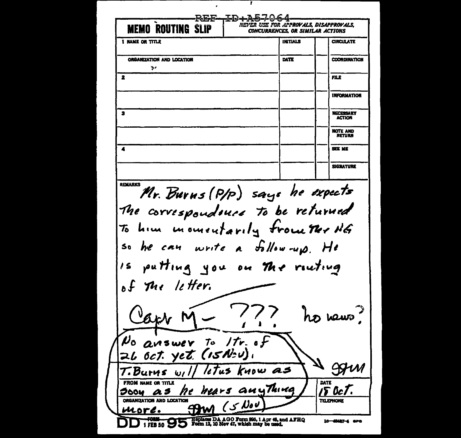Ŧ -REE-1D+A57064 NEVER USE FOR APPROVALS. DISAPPROVALS. **MEMO ROUTING SLIP CONCURRENCES, OR SIMILAR ACTIONS 1 NAME OR TITLE INITIALS CIRCULATE** ORGANIZATION AND LOCATION DATE **COORDINATION**  $\mathbf{S}$  .  $\mathbf{z}$ FILE **INFORMATION**  $\mathbf{a}$ **NECESSARY ACTION** NOTE AND **RETURN**  $\blacktriangleleft$ SEE ME **SIGNATURE** REMARKS Mr. Burns (P/p) says he expects The correspondouse to be returned To him inconventarily from The NG he can write a follow-up. He  $50$ putting you on the routing  $15$ of The letter. ext he wews No answer to Itr. of ZL Oct. yet. (ISN:v). -99 T.Burus will letus know as **FROM NAME OR TITLE** DATE soon as he hears anything IS OcT. ORGANIZATION AND LOCATION  $(s)$  Nov **TELEPHONE**  $39<sub>W</sub>$ ucore. TORM COMPUTER TO THE RESIDENCE OF THE SOLUTION OF THE SOLUTION OF THE SOLUTION OF STATES OF THE SOLUTION OF THE SOLUTION OF THE SOLUTION OF THE SOLUTION OF THE SOLUTION OF THE SOLUTION OF THE SOLUTION OF THE SOLUTION OF TH 16-4842-4 are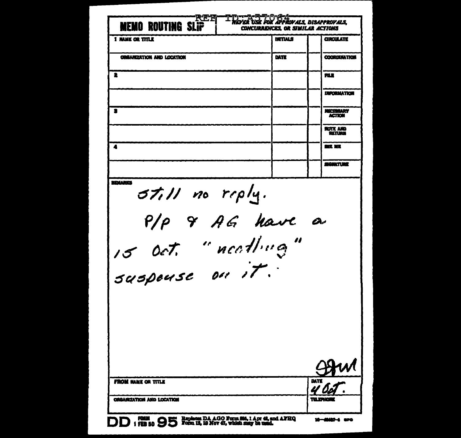| MO ROUTING SLĪŘ<br>WEI                                                    | 75 Z<br>OK ÄPROVALS. DISAPPROVALS.<br><b>CONCURRENCES, OR SIMILAR ACTIONS</b> |                            |
|---------------------------------------------------------------------------|-------------------------------------------------------------------------------|----------------------------|
| <b>1 NAME OR TITLE</b>                                                    | <b>INTIALS</b>                                                                | <b>CIRCULATE</b>           |
| ORGANIZATION AND LOCATION                                                 | DATE                                                                          | <b>COORDUM TION</b>        |
| 2                                                                         |                                                                               | FILE                       |
|                                                                           |                                                                               | <b>UNRORMATION</b>         |
| я                                                                         |                                                                               | NECESSARY<br><b>ACTION</b> |
|                                                                           |                                                                               | <b>NOTE AND</b><br>RETURK  |
| 4                                                                         |                                                                               | <b>SEC. 167</b>            |
|                                                                           |                                                                               | <b>SIGNATURE</b>           |
|                                                                           | 5till no reply.                                                               |                            |
|                                                                           |                                                                               |                            |
|                                                                           |                                                                               |                            |
| P/P 9 AG have a<br>FROM HAME OR TITLE<br><b>ORGANIZATION AND LOCATION</b> |                                                                               | 19. PH                     |